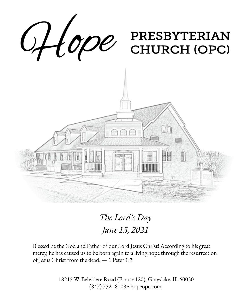

*The Lord's Day June 13, 2021*

Blessed be the God and Father of our Lord Jesus Christ! According to his great mercy, he has caused us to be born again to a living hope through the resurrection of Jesus Christ from the dead. — 1 Peter 1:3

> 18215 W. Belvidere Road (Route 120), Grayslake, IL 60030 (847) 752–8108 ◆ hopeopc.com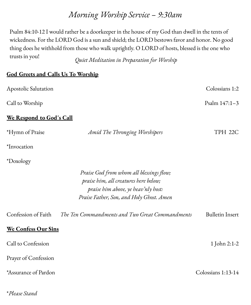## *Morning Worship Service – 9:30am*

Psalm 84:10-12 I would rather be a doorkeeper in the house of my God than dwell in the tents of wickedness. For the LORD God is a sun and shield; the LORD bestows favor and honor. No good thing does he withhold from those who walk uprightly. O LORD of hosts, blessed is the one who trusts in you! *Quiet Meditation in Preparation for Worship*

#### **God Greets and Calls Us To Worship**

| Apostolic Salutation     |                                                                                                                                                                      | Colossians 1:2         |  |
|--------------------------|----------------------------------------------------------------------------------------------------------------------------------------------------------------------|------------------------|--|
| Call to Worship          |                                                                                                                                                                      | Psalm 147:1-3          |  |
| We Respond to God's Call |                                                                                                                                                                      |                        |  |
| *Hymn of Praise          | Amid The Thronging Worshipers                                                                                                                                        | TPH 22C                |  |
| *Invocation              |                                                                                                                                                                      |                        |  |
| *Doxology                |                                                                                                                                                                      |                        |  |
|                          | Praise God from whom all blessings flow;<br>praise him, all creatures here below;<br>praise him above, ye heav'nly host:<br>Praise Father, Son, and Holy Ghost. Amen |                        |  |
| Confession of Faith      | The Ten Commandments and Two Great Commandments                                                                                                                      | <b>Bulletin Insert</b> |  |
| We Confess Our Sins      |                                                                                                                                                                      |                        |  |
| Call to Confession       |                                                                                                                                                                      | 1 John 2:1-2           |  |
| Prayer of Confession     |                                                                                                                                                                      |                        |  |
| *Assurance of Pardon     |                                                                                                                                                                      | Colossians 1:13-14     |  |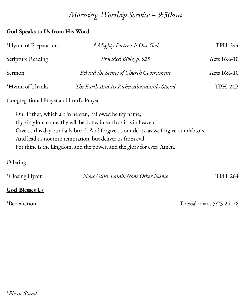# *Morning Worship Service – 9:30am*

### **God Speaks to Us from His Word**

| *Hymn of Preparation                    | A Mighty Fortress Is Our God                                                                                                                                                                                                                                                                                                                                 | TPH 244      |  |
|-----------------------------------------|--------------------------------------------------------------------------------------------------------------------------------------------------------------------------------------------------------------------------------------------------------------------------------------------------------------------------------------------------------------|--------------|--|
| Scripture Reading                       | Provided Bible, p. 925                                                                                                                                                                                                                                                                                                                                       | Acts 16:6-10 |  |
| Sermon                                  | Behind the Scenes of Church Government                                                                                                                                                                                                                                                                                                                       | Acts 16:6-10 |  |
| *Hymn of Thanks                         | The Earth And Its Riches Abundantly Stored                                                                                                                                                                                                                                                                                                                   | TPH 24B      |  |
| Congregational Prayer and Lord's Prayer |                                                                                                                                                                                                                                                                                                                                                              |              |  |
|                                         | Our Father, which art in heaven, hallowed be thy name;<br>thy kingdom come; thy will be done, in earth as it is in heaven.<br>Give us this day our daily bread. And forgive us our debts, as we forgive our debtors.<br>And lead us not into temptation; but deliver us from evil.<br>For thine is the kingdom, and the power, and the glory for ever. Amen. |              |  |

## **Offering**

| <i>*Closing Hymn</i> | None Other Lamb, None Other Name | TPH 264 |
|----------------------|----------------------------------|---------|
|----------------------|----------------------------------|---------|

### **God Blesses Us**

\*Benediction 1 Thessalonians 5:23-24, 28